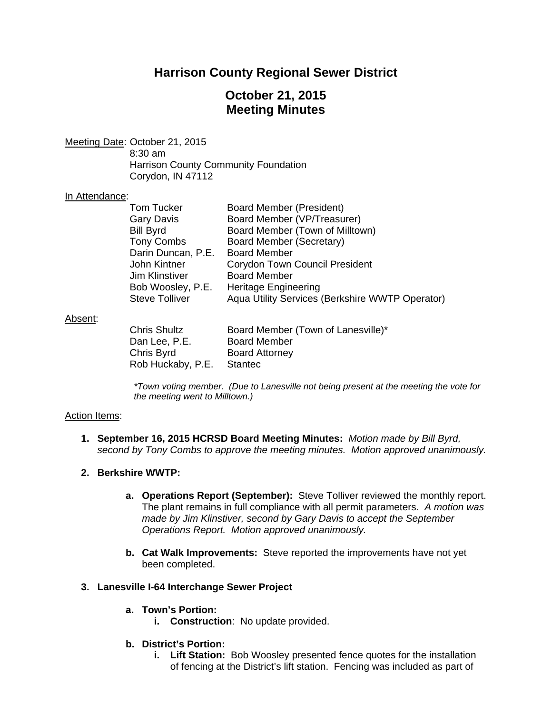# **Harrison County Regional Sewer District**

# **October 21, 2015 Meeting Minutes**

Meeting Date: October 21, 2015 8:30 am Harrison County Community Foundation

Corydon, IN 47112

#### In Attendance:

| Tom Tucker            | Board Member (President)                        |
|-----------------------|-------------------------------------------------|
| Gary Davis            | Board Member (VP/Treasurer)                     |
| <b>Bill Byrd</b>      | Board Member (Town of Milltown)                 |
| <b>Tony Combs</b>     | Board Member (Secretary)                        |
| Darin Duncan, P.E.    | <b>Board Member</b>                             |
| John Kintner          | <b>Corydon Town Council President</b>           |
| Jim Klinstiver        | <b>Board Member</b>                             |
| Bob Woosley, P.E.     | <b>Heritage Engineering</b>                     |
| <b>Steve Tolliver</b> | Aqua Utility Services (Berkshire WWTP Operator) |
|                       |                                                 |

#### Absent:

| <b>Chris Shultz</b> | Board Member (Town of Lanesville)* |
|---------------------|------------------------------------|
| Dan Lee, P.E.       | <b>Board Member</b>                |
| Chris Byrd          | <b>Board Attorney</b>              |
| Rob Huckaby, P.E.   | Stantec                            |

*\*Town voting member. (Due to Lanesville not being present at the meeting the vote for the meeting went to Milltown.)* 

### Action Items:

- **1. September 16, 2015 HCRSD Board Meeting Minutes:** *Motion made by Bill Byrd, second by Tony Combs to approve the meeting minutes. Motion approved unanimously.*
- **2. Berkshire WWTP:**
	- **a. Operations Report (September):** Steve Tolliver reviewed the monthly report. The plant remains in full compliance with all permit parameters. *A motion was made by Jim Klinstiver, second by Gary Davis to accept the September Operations Report. Motion approved unanimously.*
	- **b. Cat Walk Improvements:** Steve reported the improvements have not yet been completed.

#### **3. Lanesville I-64 Interchange Sewer Project**

- **a. Town's Portion:**
	- **i. Construction**: No update provided.

# **b. District's Portion:**

**i. Lift Station:** Bob Woosley presented fence quotes for the installation of fencing at the District's lift station. Fencing was included as part of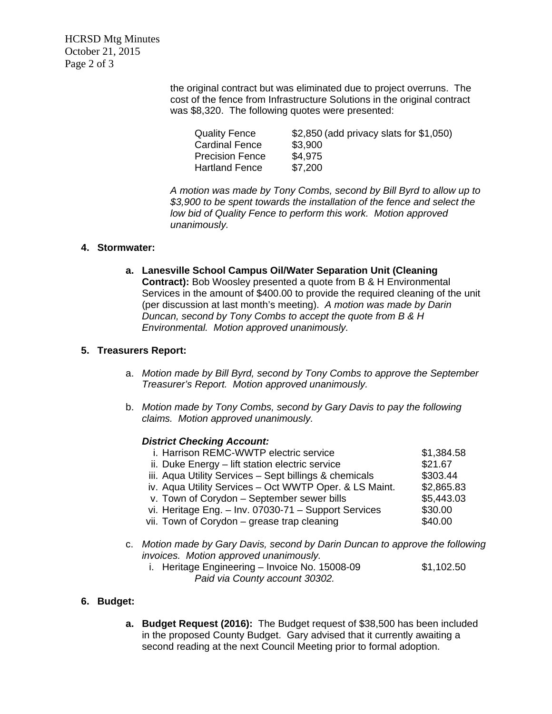HCRSD Mtg Minutes October 21, 2015 Page 2 of 3

> the original contract but was eliminated due to project overruns. The cost of the fence from Infrastructure Solutions in the original contract was \$8,320. The following quotes were presented:

| <b>Quality Fence</b>   | \$2,850 (add privacy slats for \$1,050) |
|------------------------|-----------------------------------------|
| <b>Cardinal Fence</b>  | \$3,900                                 |
| <b>Precision Fence</b> | \$4,975                                 |
| <b>Hartland Fence</b>  | \$7,200                                 |

 *A motion was made by Tony Combs, second by Bill Byrd to allow up to \$3,900 to be spent towards the installation of the fence and select the low bid of Quality Fence to perform this work. Motion approved unanimously.* 

### **4. Stormwater:**

**a. Lanesville School Campus Oil/Water Separation Unit (Cleaning Contract):** Bob Woosley presented a quote from B & H Environmental Services in the amount of \$400.00 to provide the required cleaning of the unit (per discussion at last month's meeting). *A motion was made by Darin Duncan, second by Tony Combs to accept the quote from B & H Environmental. Motion approved unanimously.*

### **5. Treasurers Report:**

- a. *Motion made by Bill Byrd, second by Tony Combs to approve the September Treasurer's Report. Motion approved unanimously.*
- b. *Motion made by Tony Combs, second by Gary Davis to pay the following claims. Motion approved unanimously.*

#### *District Checking Account:*

| i. Harrison REMC-WWTP electric service                 | \$1,384.58 |
|--------------------------------------------------------|------------|
| ii. Duke Energy - lift station electric service        | \$21.67    |
| iii. Aqua Utility Services - Sept billings & chemicals | \$303.44   |
| iv. Aqua Utility Services - Oct WWTP Oper. & LS Maint. | \$2,865.83 |
| v. Town of Corydon - September sewer bills             | \$5,443.03 |
| vi. Heritage Eng. - Inv. 07030-71 - Support Services   | \$30.00    |
| vii. Town of Corydon – grease trap cleaning            | \$40.00    |
|                                                        |            |

- c. *Motion made by Gary Davis, second by Darin Duncan to approve the following invoices. Motion approved unanimously.* 
	- i. Heritage Engineering Invoice No. 15008-09 \$1,102.50  *Paid via County account 30302.*

# **6. Budget:**

**a. Budget Request (2016):** The Budget request of \$38,500 has been included in the proposed County Budget. Gary advised that it currently awaiting a second reading at the next Council Meeting prior to formal adoption.